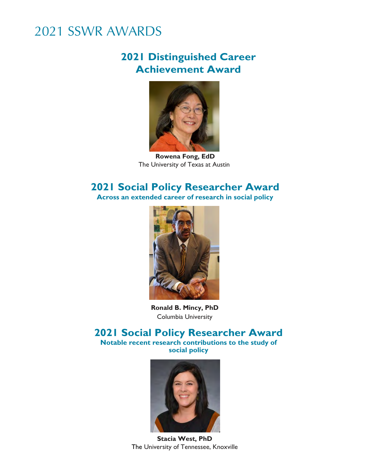### **2021 Distinguished Career Achievement Award**



**Rowena Fong, EdD** The University of Texas at Austin

#### **2021 Social Policy Researcher Award Across an extended career of research in social policy**



**Ronald B. Mincy, PhD** Columbia University

#### **2021 Social Policy Researcher Award Notable recent research contributions to the study of**

**social policy**



**Stacia West, PhD** The University of Tennessee, Knoxville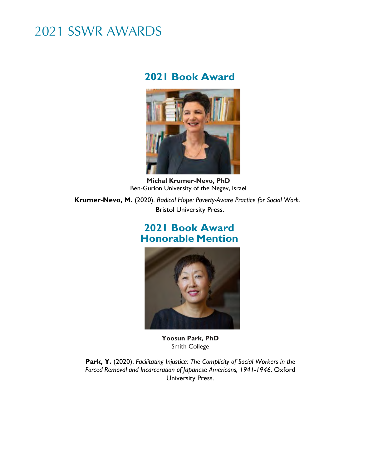#### **2021 Book Award**



**Michal Krumer-Nevo, PhD** Ben-Gurion University of the Negev, Israel

**Krumer-Nevo, M.** (2020). *Radical Hope: Poverty-Aware Practice for Social Work*. Bristol University Press.

#### **2021 Book Award Honorable Mention**



**Yoosun Park, PhD** Smith College

**Park, Y.** (2020). *Facilitating Injustice: The Complicity of Social Workers in the Forced Removal and Incarceration of Japanese Americans, 1941-1946*. Oxford University Press.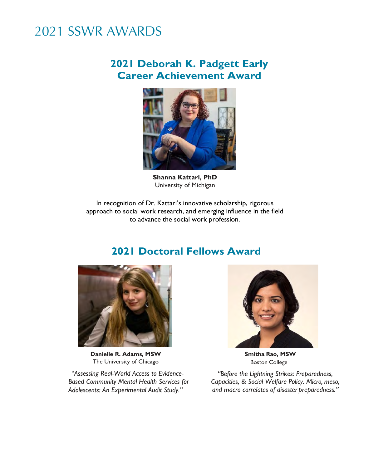#### **2021 Deborah K. Padgett Early Career Achievement Award**



**Shanna Kattari, PhD** University of Michigan

In recognition of Dr. Kattari's innovative scholarship, rigorous approach to social work research, and emerging influence in the field to advance the social work profession.

### **2021 Doctoral Fellows Award**



**Danielle R. Adams, MSW** The University of Chicago

*"Assessing Real-World Access to Evidence-Based Community Mental Health Services for Adolescents: An Experimental Audit Study."*



**Smitha Rao, MSW** Boston College

*"Before the Lightning Strikes: Preparedness, Capacities, & Social Welfare Policy. Micro, meso, and macro correlates of disaster preparedness."*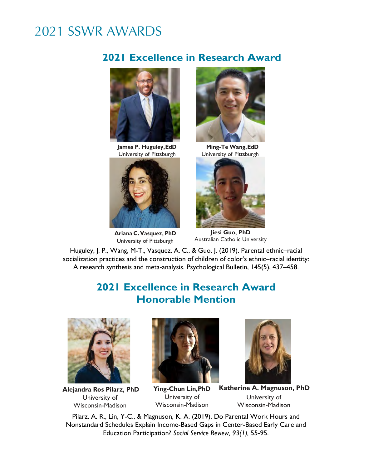### **2021 Excellence in Research Award**



**James P. Huguley, EdD** University of Pittsburgh



**Ariana C. Vasquez, PhD** University of Pittsburgh



**Ming-Te Wang, EdD** University of Pittsburgh



**Jiesi Guo, PhD** Australian Catholic University

Huguley, J. P., Wang, M-T., Vasquez, A. C., & Guo, J. (2019). Parental ethnic–racial socialization practices and the construction of children of color's ethnic–racial identity: A research synthesis and meta-analysis. Psychological Bulletin, 145(5), 437–458.

### **2021 Excellence in Research Award Honorable Mention**



**Alejandra Ros Pilarz, PhD** University of Wisconsin-Madison



**Ying-Chun Lin,PhD**  University of Wisconsin-Madison



**Katherine A. Magnuson, PhD** University of Wisconsin-Madison

Pilarz, A. R., Lin, Y-C., & Magnuson, K. A. (2019). Do Parental Work Hours and Nonstandard Schedules Explain Income-Based Gaps in Center-Based Early Care and Education Participation? *Social Service Review, 93(1),* 55-95.